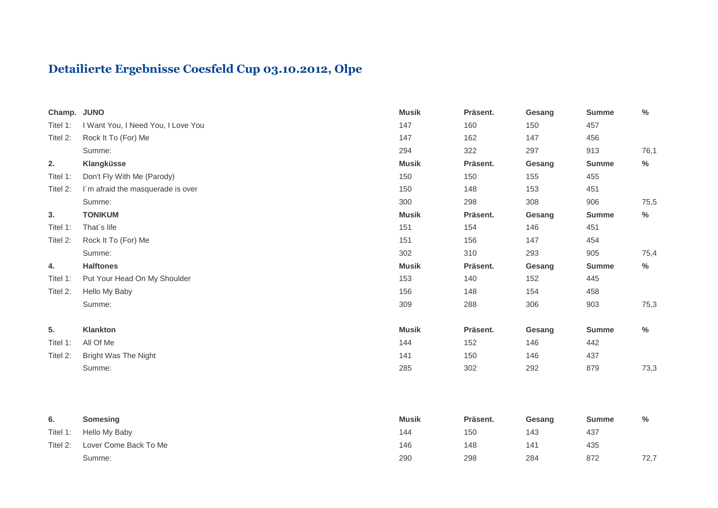## **Detailierte Ergebnisse Coesfeld Cup 03.10.2012, Olpe**

| Champ. JUNO |                                    | <b>Musik</b> | Präsent. | Gesang | <b>Summe</b> | $\frac{0}{0}$ |
|-------------|------------------------------------|--------------|----------|--------|--------------|---------------|
| Titel 1:    | I Want You, I Need You, I Love You | 147          | 160      | 150    | 457          |               |
| Titel 2:    | Rock It To (For) Me                | 147          | 162      | 147    | 456          |               |
|             | Summe:                             | 294          | 322      | 297    | 913          | 76,1          |
| 2.          | Klangküsse                         | <b>Musik</b> | Präsent. | Gesang | <b>Summe</b> | %             |
| Titel 1:    | Don't Fly With Me (Parody)         | 150          | 150      | 155    | 455          |               |
| Titel 2:    | I'm afraid the masquerade is over  | 150          | 148      | 153    | 451          |               |
|             | Summe:                             | 300          | 298      | 308    | 906          | 75,5          |
| 3.          | <b>TONIKUM</b>                     | <b>Musik</b> | Präsent. | Gesang | <b>Summe</b> | %             |
| Titel 1:    | That's life                        | 151          | 154      | 146    | 451          |               |
| Titel 2:    | Rock It To (For) Me                | 151          | 156      | 147    | 454          |               |
|             | Summe:                             | 302          | 310      | 293    | 905          | 75,4          |
| 4.          | <b>Halftones</b>                   | <b>Musik</b> | Präsent. | Gesang | <b>Summe</b> | %             |
| Titel 1:    | Put Your Head On My Shoulder       | 153          | 140      | 152    | 445          |               |
| Titel 2:    | Hello My Baby                      | 156          | 148      | 154    | 458          |               |
|             | Summe:                             | 309          | 288      | 306    | 903          | 75,3          |
| 5.          | Klankton                           | <b>Musik</b> | Präsent. | Gesang | <b>Summe</b> | %             |
| Titel 1:    | All Of Me                          | 144          | 152      | 146    | 442          |               |
| Titel 2:    | <b>Bright Was The Night</b>        | 141          | 150      | 146    | 437          |               |
|             | Summe:                             | 285          | 302      | 292    | 879          | 73,3          |
|             |                                    |              |          |        |              |               |
|             |                                    |              |          |        |              |               |

| υ.       | Somesing              | <b>Musik</b> | Präsent. | Gesang | Summe | %    |
|----------|-----------------------|--------------|----------|--------|-------|------|
| Titel 1: | Hello My Baby         | 144          | 150      | 143    | 437   |      |
| Titel 2: | Lover Come Back To Me | 146          | 148      | 141    | 435   |      |
|          | Summe:                | 290          | 298      | 284    | 872   | 72,7 |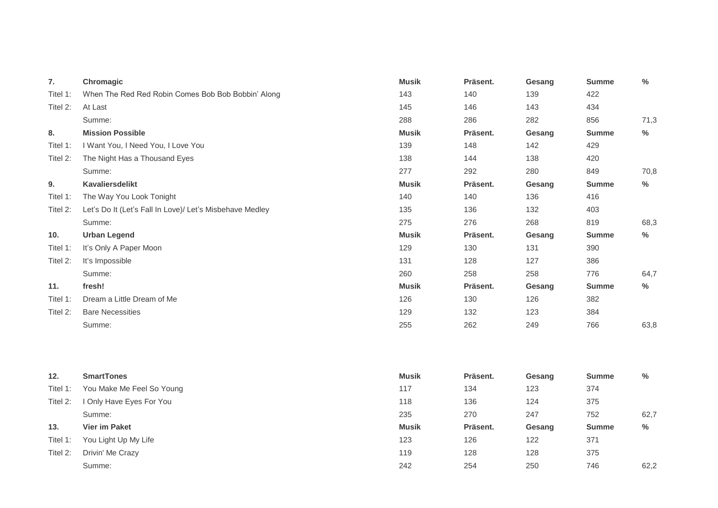| 7.       | Chromagic                                                | <b>Musik</b> | Präsent. | Gesang | <b>Summe</b> | $\%$ |
|----------|----------------------------------------------------------|--------------|----------|--------|--------------|------|
| Titel 1: | When The Red Red Robin Comes Bob Bob Bobbin' Along       | 143          | 140      | 139    | 422          |      |
| Titel 2: | At Last                                                  | 145          | 146      | 143    | 434          |      |
|          | Summe:                                                   | 288          | 286      | 282    | 856          | 71,3 |
| 8.       | <b>Mission Possible</b>                                  | <b>Musik</b> | Präsent. | Gesang | <b>Summe</b> | $\%$ |
| Titel 1: | I Want You, I Need You, I Love You                       | 139          | 148      | 142    | 429          |      |
| Titel 2: | The Night Has a Thousand Eyes                            | 138          | 144      | 138    | 420          |      |
|          | Summe:                                                   | 277          | 292      | 280    | 849          | 70,8 |
| 9.       | Kavaliersdelikt                                          | <b>Musik</b> | Präsent. | Gesang | <b>Summe</b> | $\%$ |
| Titel 1: | The Way You Look Tonight                                 | 140          | 140      | 136    | 416          |      |
| Titel 2: | Let's Do It (Let's Fall In Love)/ Let's Misbehave Medley | 135          | 136      | 132    | 403          |      |
|          | Summe:                                                   | 275          | 276      | 268    | 819          | 68,3 |
| 10.      | <b>Urban Legend</b>                                      | <b>Musik</b> | Präsent. | Gesang | <b>Summe</b> | $\%$ |
| Titel 1: | It's Only A Paper Moon                                   | 129          | 130      | 131    | 390          |      |
| Titel 2: | It's Impossible                                          | 131          | 128      | 127    | 386          |      |
|          | Summe:                                                   | 260          | 258      | 258    | 776          | 64,7 |
| 11.      | fresh!                                                   | <b>Musik</b> | Präsent. | Gesang | <b>Summe</b> | $\%$ |
| Titel 1: | Dream a Little Dream of Me                               | 126          | 130      | 126    | 382          |      |
| Titel 2: | <b>Bare Necessities</b>                                  | 129          | 132      | 123    | 384          |      |
|          | Summe:                                                   | 255          | 262      | 249    | 766          | 63,8 |

| 12.      | <b>SmartTones</b>             | <b>Musik</b> | Präsent. | Gesang | <b>Summe</b> | $\%$ |
|----------|-------------------------------|--------------|----------|--------|--------------|------|
| Titel 1: | You Make Me Feel So Young     | 117          | 134      | 123    | 374          |      |
| Titel 2: | <b>Only Have Eyes For You</b> | 118          | 136      | 124    | 375          |      |
|          | Summe:                        | 235          | 270      | 247    | 752          | 62,7 |
| 13.      | <b>Vier im Paket</b>          | <b>Musik</b> | Präsent. | Gesang | <b>Summe</b> | %    |
| Titel 1: | You Light Up My Life          | 123          | 126      | 122    | 371          |      |
| Titel 2: | Drivin' Me Crazy              | 119          | 128      | 128    | 375          |      |
|          | Summe:                        | 242          | 254      | 250    | 746          | 62,2 |